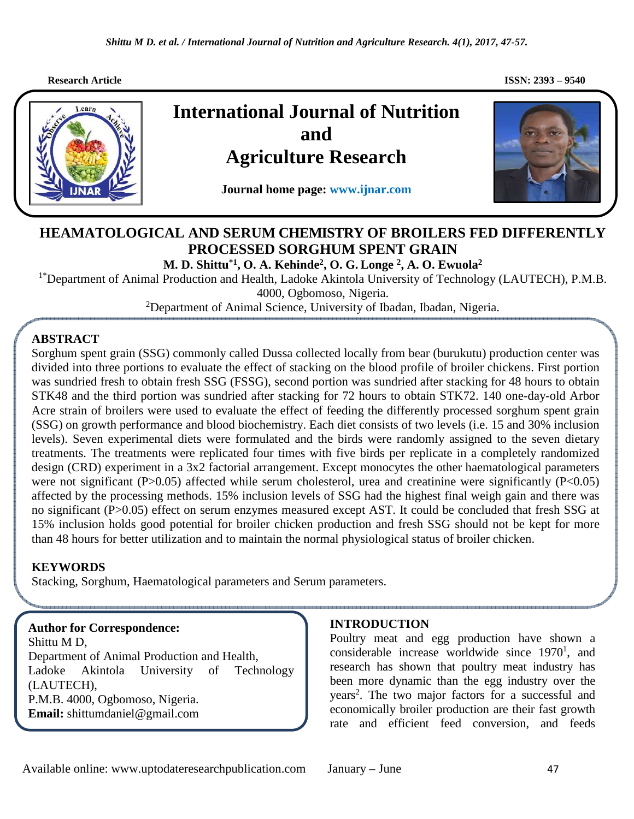*Shittu M D. et al. / International Journal of Nutrition and Agriculture Research. 4(1), 2017, 47-57.*

ֺ

 **Research Article** ISSN: 2393 – 9540 **ISSN: 2393 – 9540** 



# **International Journal of Nutrition and Agriculture Research**

**Journal home page: www.ijnar.com** 



## **HEAMATOLOGICAL AND SERUM CHEMISTRY OF BROILERS FED DIFFERENTLY PROCESSED SORGHUM SPENT GRAIN**

**M. D. Shittu\*1, O. A. Kehinde<sup>2</sup> , O. G. Longe <sup>2</sup> , A. O. Ewuola<sup>2</sup>**

<sup>1\*</sup>Department of Animal Production and Health, Ladoke Akintola University of Technology (LAUTECH), P.M.B. 4000, Ogbomoso, Nigeria.

<sup>2</sup>Department of Animal Science, University of Ibadan, Ibadan, Nigeria.

## **ABSTRACT**

. divided into three portions to evaluate the effect of stacking on the blood profile of broiler chickens. First portion Sorghum spent grain (SSG) commonly called Dussa collected locally from bear (burukutu) production center was was sundried fresh to obtain fresh SSG (FSSG), second portion was sundried after stacking for 48 hours to obtain STK48 and the third portion was sundried after stacking for 72 hours to obtain STK72. 140 one-day-old Arbor Acre strain of broilers were used to evaluate the effect of feeding the differently processed sorghum spent grain (SSG) on growth performance and blood biochemistry. Each diet consists of two levels (i.e. 15 and 30% inclusion levels). Seven experimental diets were formulated and the birds were randomly assigned to the seven dietary treatments. The treatments were replicated four times with five birds per replicate in a completely randomized design (CRD) experiment in a 3x2 factorial arrangement. Except monocytes the other haematological parameters were not significant (P>0.05) affected while serum cholesterol, urea and creatinine were significantly (P<0.05) affected by the processing methods. 15% inclusion levels of SSG had the highest final weigh gain and there was no significant (P>0.05) effect on serum enzymes measured except AST. It could be concluded that fresh SSG at 15% inclusion holds good potential for broiler chicken production and fresh SSG should not be kept for more than 48 hours for better utilization and to maintain the normal physiological status of broiler chicken.

## **KEYWORDS**

Stacking, Sorghum, Haematological parameters and Serum parameters.

**Author for Correspondence:**  Shittu M D, Department of Animal Production and Health, Ladoke Akintola University of Technology (LAUTECH), P.M.B. 4000, Ogbomoso, Nigeria. **Email:** shittumdaniel@gmail.com

## **INTRODUCTION**

Poultry meat and egg production have shown a considerable increase worldwide since 1970<sup>1</sup>, and research has shown that poultry meat industry has been more dynamic than the egg industry over the years<sup>2</sup>. The two major factors for a successful and economically broiler production are their fast growth rate and efficient feed conversion, and feeds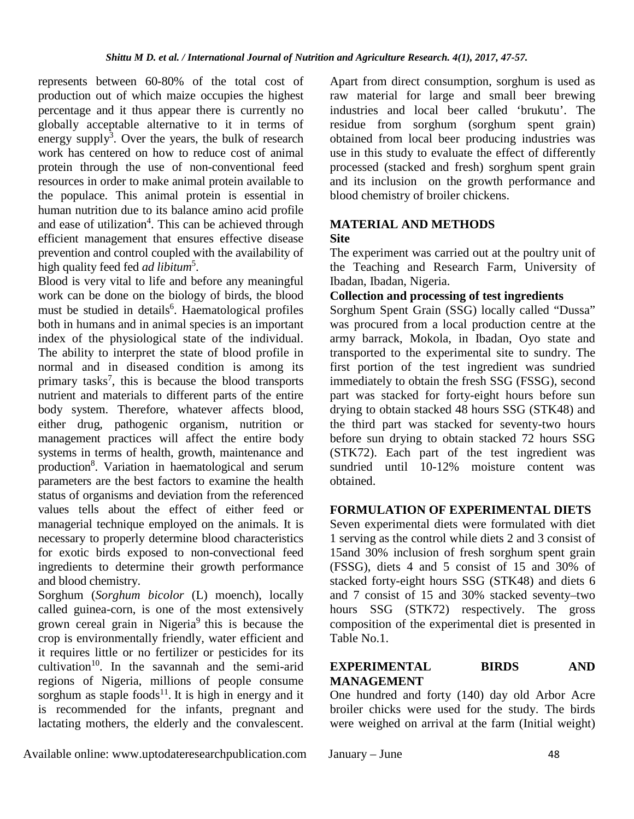represents between 60-80% of the total cost of production out of which maize occupies the highest percentage and it thus appear there is currently no globally acceptable alternative to it in terms of energy supply<sup>3</sup>. Over the years, the bulk of research work has centered on how to reduce cost of animal protein through the use of non-conventional feed resources in order to make animal protein available to the populace. This animal protein is essential in human nutrition due to its balance amino acid profile and ease of utilization<sup>4</sup>. This can be achieved through efficient management that ensures effective disease prevention and control coupled with the availability of high quality feed fed *ad libitum*<sup>5</sup> .

Blood is very vital to life and before any meaningful work can be done on the biology of birds, the blood must be studied in details<sup>6</sup>. Haematological profiles both in humans and in animal species is an important index of the physiological state of the individual. The ability to interpret the state of blood profile in normal and in diseased condition is among its primary tasks<sup>7</sup>, this is because the blood transports nutrient and materials to different parts of the entire body system. Therefore, whatever affects blood, either drug, pathogenic organism, nutrition or management practices will affect the entire body systems in terms of health, growth, maintenance and production<sup>8</sup>. Variation in haematological and serum parameters are the best factors to examine the health status of organisms and deviation from the referenced values tells about the effect of either feed or managerial technique employed on the animals. It is necessary to properly determine blood characteristics for exotic birds exposed to non-convectional feed ingredients to determine their growth performance and blood chemistry.

Sorghum (*Sorghum bicolor* (L) moench), locally called guinea-corn, is one of the most extensively grown cereal grain in Nigeria<sup>9</sup> this is because the crop is environmentally friendly, water efficient and it requires little or no fertilizer or pesticides for its  $cultivation<sup>10</sup>$ . In the savannah and the semi-arid regions of Nigeria, millions of people consume sorghum as staple foods<sup>11</sup>. It is high in energy and it is recommended for the infants, pregnant and lactating mothers, the elderly and the convalescent.

Apart from direct consumption, sorghum is used as raw material for large and small beer brewing industries and local beer called 'brukutu'. The residue from sorghum (sorghum spent grain) obtained from local beer producing industries was use in this study to evaluate the effect of differently processed (stacked and fresh) sorghum spent grain and its inclusion on the growth performance and blood chemistry of broiler chickens.

# **MATERIAL AND METHODS**

#### **Site**

The experiment was carried out at the poultry unit of the Teaching and Research Farm, University of Ibadan, Ibadan, Nigeria.

## **Collection and processing of test ingredients**

Sorghum Spent Grain (SSG) locally called "Dussa" was procured from a local production centre at the army barrack, Mokola, in Ibadan, Oyo state and transported to the experimental site to sundry. The first portion of the test ingredient was sundried immediately to obtain the fresh SSG (FSSG), second part was stacked for forty-eight hours before sun drying to obtain stacked 48 hours SSG (STK48) and the third part was stacked for seventy-two hours before sun drying to obtain stacked 72 hours SSG (STK72). Each part of the test ingredient was sundried until 10-12% moisture content was obtained.

## **FORMULATION OF EXPERIMENTAL DIETS**

Seven experimental diets were formulated with diet 1 serving as the control while diets 2 and 3 consist of 15and 30% inclusion of fresh sorghum spent grain (FSSG), diets 4 and 5 consist of 15 and 30% of stacked forty-eight hours SSG (STK48) and diets 6 and 7 consist of 15 and 30% stacked seventy–two hours SSG (STK72) respectively. The gross composition of the experimental diet is presented in Table No.1.

## **EXPERIMENTAL BIRDS AND MANAGEMENT**

One hundred and forty (140) day old Arbor Acre broiler chicks were used for the study. The birds were weighed on arrival at the farm (Initial weight)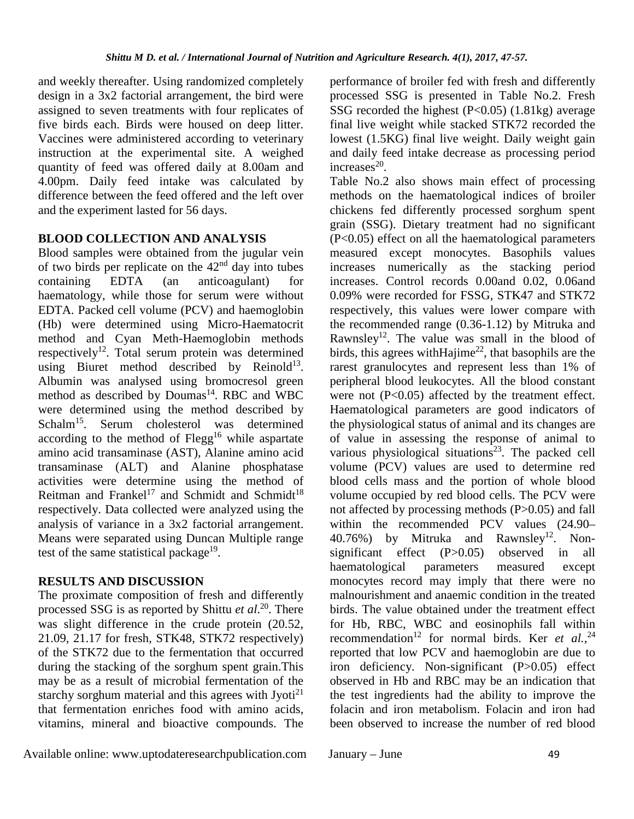and weekly thereafter. Using randomized completely design in a 3x2 factorial arrangement, the bird were assigned to seven treatments with four replicates of five birds each. Birds were housed on deep litter. Vaccines were administered according to veterinary instruction at the experimental site. A weighed quantity of feed was offered daily at 8.00am and 4.00pm. Daily feed intake was calculated by difference between the feed offered and the left over and the experiment lasted for 56 days.

## **BLOOD COLLECTION AND ANALYSIS**

Blood samples were obtained from the jugular vein of two birds per replicate on the  $42<sup>nd</sup>$  day into tubes<br>containing EDTA (an anticoagulant) for containing EDTA (an anticoagulant) for haematology, while those for serum were without EDTA. Packed cell volume (PCV) and haemoglobin (Hb) were determined using Micro-Haematocrit method and Cyan Meth-Haemoglobin methods respectively<sup>12</sup>. Total serum protein was determined using Biuret method described by Reinold<sup>13</sup>. Albumin was analysed using bromocresol green method as described by Doumas<sup>14</sup>. RBC and WBC were determined using the method described by Schalm<sup>15</sup>. Serum cholesterol was determined according to the method of  $Flegg<sup>16</sup>$  while aspartate amino acid transaminase (AST), Alanine amino acid transaminase (ALT) and Alanine phosphatase activities were determine using the method of Reitman and Frankel<sup>17</sup> and Schmidt and Schmidt<sup>18</sup> respectively. Data collected were analyzed using the analysis of variance in a 3x2 factorial arrangement. Means were separated using Duncan Multiple range test of the same statistical package<sup>19</sup>.

## **RESULTS AND DISCUSSION**

The proximate composition of fresh and differently processed SSG is as reported by Shittu *et al*. <sup>20</sup>. There was slight difference in the crude protein (20.52, 21.09, 21.17 for fresh, STK48, STK72 respectively) of the STK72 due to the fermentation that occurred during the stacking of the sorghum spent grain.This may be as a result of microbial fermentation of the starchy sorghum material and this agrees with Jyoti<sup>21</sup> that fermentation enriches food with amino acids, vitamins, mineral and bioactive compounds. The

performance of broiler fed with fresh and differently processed SSG is presented in Table No.2. Fresh SSG recorded the highest  $(P<0.05)$  (1.81kg) average final live weight while stacked STK72 recorded the lowest (1.5KG) final live weight. Daily weight gain and daily feed intake decrease as processing period increases $^{20}$ .

Table No.2 also shows main effect of processing methods on the haematological indices of broiler chickens fed differently processed sorghum spent grain (SSG). Dietary treatment had no significant (P<0.05) effect on all the haematological parameters measured except monocytes. Basophils values increases numerically as the stacking period increases. Control records 0.00and 0.02, 0.06and 0.09% were recorded for FSSG, STK47 and STK72 respectively, this values were lower compare with the recommended range (0.36-1.12) by Mitruka and Rawnsley<sup>12</sup>. The value was small in the blood of birds, this agrees with Hajime<sup>22</sup>, that basophils are the rarest granulocytes and represent less than 1% of peripheral blood leukocytes. All the blood constant were not  $(P<0.05)$  affected by the treatment effect. Haematological parameters are good indicators of the physiological status of animal and its changes are of value in assessing the response of animal to various physiological situations<sup>23</sup>. The packed cell volume (PCV) values are used to determine red blood cells mass and the portion of whole blood volume occupied by red blood cells. The PCV were not affected by processing methods (P>0.05) and fall within the recommended PCV values (24.90– 40.76%) by Mitruka and Rawnsley<sup>12</sup>. Nonsignificant effect (P>0.05) observed in all haematological parameters measured except monocytes record may imply that there were no malnourishment and anaemic condition in the treated birds. The value obtained under the treatment effect for Hb, RBC, WBC and eosinophils fall within recommendation<sup>12</sup> for normal birds. Ker *et al.*,<sup>24</sup> reported that low PCV and haemoglobin are due to iron deficiency. Non-significant (P>0.05) effect observed in Hb and RBC may be an indication that the test ingredients had the ability to improve the folacin and iron metabolism. Folacin and iron had been observed to increase the number of red blood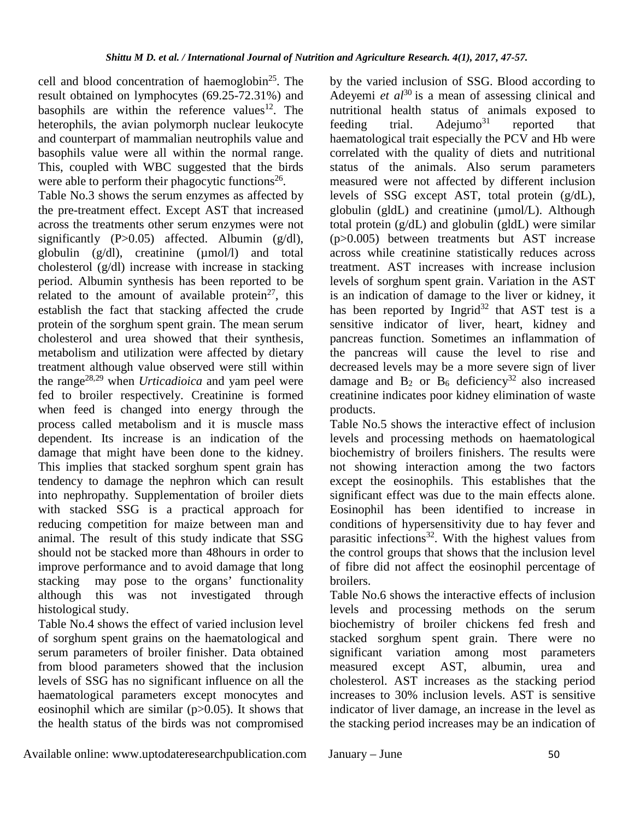cell and blood concentration of haemoglobin<sup>25</sup>. The result obtained on lymphocytes (69.25-72.31%) and basophils are within the reference values $12$ . The heterophils, the avian polymorph nuclear leukocyte and counterpart of mammalian neutrophils value and basophils value were all within the normal range. This, coupled with WBC suggested that the birds were able to perform their phagocytic functions<sup>26</sup>. Table No.3 shows the serum enzymes as affected by the pre-treatment effect. Except AST that increased across the treatments other serum enzymes were not significantly (P>0.05) affected. Albumin (g/dl), globulin (g/dl), creatinine (µmol/l) and total cholesterol (g/dl) increase with increase in stacking period. Albumin synthesis has been reported to be related to the amount of available protein<sup>27</sup>, this establish the fact that stacking affected the crude protein of the sorghum spent grain. The mean serum cholesterol and urea showed that their synthesis, metabolism and utilization were affected by dietary treatment although value observed were still within the range28,29 when *Urticadioica* and yam peel were fed to broiler respectively. Creatinine is formed when feed is changed into energy through the process called metabolism and it is muscle mass dependent. Its increase is an indication of the damage that might have been done to the kidney. This implies that stacked sorghum spent grain has tendency to damage the nephron which can result into nephropathy. Supplementation of broiler diets with stacked SSG is a practical approach for reducing competition for maize between man and animal. The result of this study indicate that SSG should not be stacked more than 48hours in order to improve performance and to avoid damage that long stacking may pose to the organs' functionality although this was not investigated through

histological study. Table No.4 shows the effect of varied inclusion level of sorghum spent grains on the haematological and serum parameters of broiler finisher. Data obtained from blood parameters showed that the inclusion levels of SSG has no significant influence on all the haematological parameters except monocytes and eosinophil which are similar  $(p>0.05)$ . It shows that the health status of the birds was not compromised

by the varied inclusion of SSG. Blood according to Adeyemi *et al*<sup>30</sup> is a mean of assessing clinical and nutritional health status of animals exposed to feeding trial.  $Adejumo^{31}$  reported that haematological trait especially the PCV and Hb were correlated with the quality of diets and nutritional status of the animals. Also serum parameters measured were not affected by different inclusion levels of SSG except AST, total protein (g/dL), globulin (gldL) and creatinine (µmol/L). Although total protein (g/dL) and globulin (gldL) were similar (p>0.005) between treatments but AST increase across while creatinine statistically reduces across treatment. AST increases with increase inclusion levels of sorghum spent grain. Variation in the AST is an indication of damage to the liver or kidney, it has been reported by Ingrid<sup>32</sup> that AST test is a sensitive indicator of liver, heart, kidney and pancreas function. Sometimes an inflammation of the pancreas will cause the level to rise and decreased levels may be a more severe sign of liver damage and  $B_2$  or  $B_6$  deficiency<sup>32</sup> also increased creatinine indicates poor kidney elimination of waste products.

Table No.5 shows the interactive effect of inclusion levels and processing methods on haematological biochemistry of broilers finishers. The results were not showing interaction among the two factors except the eosinophils. This establishes that the significant effect was due to the main effects alone. Eosinophil has been identified to increase in conditions of hypersensitivity due to hay fever and parasitic infections<sup>32</sup>. With the highest values from the control groups that shows that the inclusion level of fibre did not affect the eosinophil percentage of broilers.

Table No.6 shows the interactive effects of inclusion levels and processing methods on the serum biochemistry of broiler chickens fed fresh and stacked sorghum spent grain. There were no significant variation among most parameters measured except AST, albumin, urea and cholesterol. AST increases as the stacking period increases to 30% inclusion levels. AST is sensitive indicator of liver damage, an increase in the level as the stacking period increases may be an indication of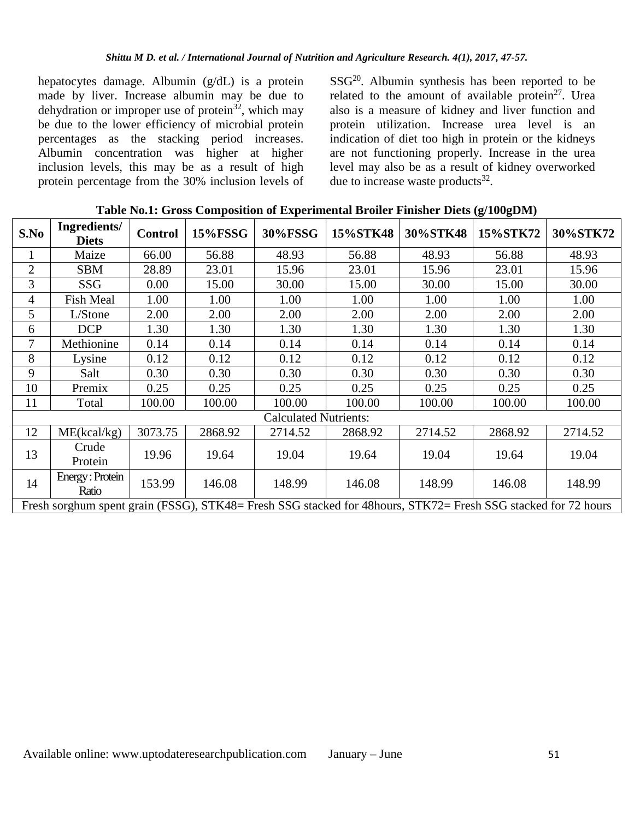hepatocytes damage. Albumin (g/dL) is a protein made by liver. Increase albumin may be due to dehydration or improper use of protein<sup>32</sup>, which may be due to the lower efficiency of microbial protein percentages as the stacking period increases. Albumin concentration was higher at higher inclusion levels, this may be as a result of high protein percentage from the 30% inclusion levels of  $SSG<sup>20</sup>$ . Albumin synthesis has been reported to be related to the amount of available protein $2^7$ . Urea also is a measure of kidney and liver function and protein utilization. Increase urea level is an indication of diet too high in protein or the kidneys are not functioning properly. Increase in the urea level may also be as a result of kidney overworked due to increase waste products<sup>32</sup>.

| S.No           | Ingredients/<br><b>Diets</b>                                                                                  | <b>Control</b> | <b>15%FSSG</b> | 30%FSSG                      | 15%STK48 | 30%STK48 | 15%STK72 | 30%STK72 |
|----------------|---------------------------------------------------------------------------------------------------------------|----------------|----------------|------------------------------|----------|----------|----------|----------|
| 1              | Maize                                                                                                         | 66.00          | 56.88          | 48.93                        | 56.88    | 48.93    | 56.88    | 48.93    |
| $\overline{2}$ | <b>SBM</b>                                                                                                    | 28.89          | 23.01          | 15.96                        | 23.01    | 15.96    | 23.01    | 15.96    |
| 3              | SSG                                                                                                           | 0.00           | 15.00          | 30.00                        | 15.00    | 30.00    | 15.00    | 30.00    |
| $\overline{4}$ | <b>Fish Meal</b>                                                                                              | 1.00           | 1.00           | 1.00                         | 1.00     | 1.00     | 1.00     | 1.00     |
| 5              | L/Stone                                                                                                       | 2.00           | 2.00           | 2.00                         | 2.00     | 2.00     | 2.00     | 2.00     |
| 6              | <b>DCP</b>                                                                                                    | 1.30           | 1.30           | 1.30                         | 1.30     | 1.30     | 1.30     | 1.30     |
| 7              | Methionine                                                                                                    | 0.14           | 0.14           | 0.14                         | 0.14     | 0.14     | 0.14     | 0.14     |
| 8              | Lysine                                                                                                        | 0.12           | 0.12           | 0.12                         | 0.12     | 0.12     | 0.12     | 0.12     |
| 9              | Salt                                                                                                          | 0.30           | 0.30           | 0.30                         | 0.30     | 0.30     | 0.30     | 0.30     |
| 10             | Premix                                                                                                        | 0.25           | 0.25           | 0.25                         | 0.25     | 0.25     | 0.25     | 0.25     |
| 11             | Total                                                                                                         | 100.00         | 100.00         | 100.00                       | 100.00   | 100.00   | 100.00   | 100.00   |
|                |                                                                                                               |                |                | <b>Calculated Nutrients:</b> |          |          |          |          |
| 12             | ME(kcal/kg)                                                                                                   | 3073.75        | 2868.92        | 2714.52                      | 2868.92  | 2714.52  | 2868.92  | 2714.52  |
| 13             | Crude<br>Protein                                                                                              | 19.96          | 19.64          | 19.04                        | 19.64    | 19.04    | 19.64    | 19.04    |
| 14             | Energy: Protein<br>Ratio                                                                                      | 153.99         | 146.08         | 148.99                       | 146.08   | 148.99   | 146.08   | 148.99   |
|                | Fresh sorghum spent grain (FSSG), STK48= Fresh SSG stacked for 48hours, STK72= Fresh SSG stacked for 72 hours |                |                |                              |          |          |          |          |

**Table No.1: Gross Composition of Experimental Broiler Finisher Diets (g/100gDM)**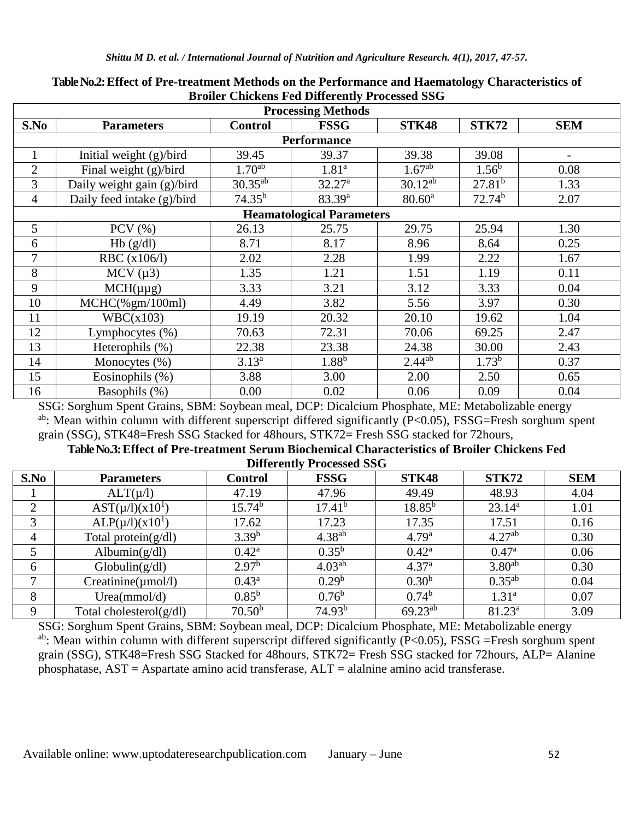| <b>Processing Methods</b> |                            |                    |                                  |                    |                    |                   |  |  |  |
|---------------------------|----------------------------|--------------------|----------------------------------|--------------------|--------------------|-------------------|--|--|--|
| S.No                      | <b>Parameters</b>          | <b>Control</b>     | <b>FSSG</b>                      | <b>STK48</b>       | <b>STK72</b>       | <b>SEM</b>        |  |  |  |
| <b>Performance</b>        |                            |                    |                                  |                    |                    |                   |  |  |  |
| 1                         | Initial weight (g)/bird    | 39.45              | 39.37                            | 39.38              | 39.08              | $\qquad \qquad -$ |  |  |  |
| $\overline{2}$            | Final weight $(g)/bird$    | 1.70 <sup>ab</sup> | 1.81 <sup>a</sup>                | 1.67 <sup>ab</sup> | $1.56^b$           | 0.08              |  |  |  |
| 3                         | Daily weight gain (g)/bird | $30.35^{ab}$       | 32.27 <sup>a</sup>               | $30.12^{ab}$       | 27.81 <sup>b</sup> | 1.33              |  |  |  |
| $\overline{4}$            | Daily feed intake (g)/bird | $74.35^{b}$        | 83.39 <sup>a</sup>               | $80.60^{\rm a}$    | 72.74 <sup>b</sup> | 2.07              |  |  |  |
|                           |                            |                    | <b>Heamatological Parameters</b> |                    |                    |                   |  |  |  |
| 5                         | PCV $(\% )$                | 26.13              | 25.75                            | 29.75              | 25.94              | 1.30              |  |  |  |
| 6                         | Hb(g/dl)                   | 8.71               | 8.17                             | 8.96               | 8.64               | 0.25              |  |  |  |
| 7                         | RBC (x106/l)               | 2.02               | 2.28                             | 1.99               | 2.22               | 1.67              |  |  |  |
| 8                         | $MCV(\mu 3)$               | 1.35               | 1.21                             | 1.51               | 1.19               | 0.11              |  |  |  |
| 9                         | $MCH(\mu\mu g)$            | 3.33               | 3.21                             | 3.12               | 3.33               | 0.04              |  |  |  |
| 10                        | $MCHC(\%gm/100ml)$         | 4.49               | 3.82                             | 5.56               | 3.97               | 0.30              |  |  |  |
| 11                        | WBC(x103)                  | 19.19              | 20.32                            | 20.10              | 19.62              | 1.04              |  |  |  |
| 12                        | Lymphocytes (%)            | 70.63              | 72.31                            | 70.06              | 69.25              | 2.47              |  |  |  |
| 13                        | Heterophils (%)            | 22.38              | 23.38                            | 24.38              | 30.00              | 2.43              |  |  |  |
| 14                        | Monocytes (%)              | $3.13^{a}$         | $1.88^{b}$                       | $2.44^{ab}$        | $1.73^{b}$         | 0.37              |  |  |  |
| 15                        | Eosinophils $(\%)$         | 3.88               | 3.00                             | 2.00               | 2.50               | 0.65              |  |  |  |
| 16                        | Basophils (%)              | 0.00               | 0.02                             | 0.06               | 0.09               | 0.04              |  |  |  |

#### **Table No.2: Effect of Pre-treatment Methods on the Performance and Haematology Characteristics of Broiler Chickens Fed Differently Processed SSG**

SSG: Sorghum Spent Grains, SBM: Soybean meal, DCP: Dicalcium Phosphate, ME: Metabolizable energy ab: Mean within column with different superscript differed significantly (P<0.05), FSSG=Fresh sorghum spent grain (SSG), STK48=Fresh SSG Stacked for 48hours, STK72= Fresh SSG stacked for 72hours,

#### **Table No.3: Effect of Pre-treatment Serum Biochemical Characteristics of Broiler Chickens Fed Differently Processed SSG**

|      |                            |                    | <b>DIRECTLY Tracessed</b> DDG |                   |                    |            |
|------|----------------------------|--------------------|-------------------------------|-------------------|--------------------|------------|
| S.No | <b>Parameters</b>          | <b>Control</b>     | <b>FSSG</b>                   | <b>STK48</b>      | STK72              | <b>SEM</b> |
|      | $ALT(\mu/l)$               | 47.19              | 47.96                         | 49.49             | 48.93              | 4.04       |
| 2    | $AST(\mu/l)(x10^1)$        | 15.74 <sup>b</sup> | 17.41 <sup>b</sup>            | $18.85^{b}$       | $23.14^a$          | 1.01       |
| 3    | $ALP(\mu/l)(x10^1)$        | 17.62              | 17.23                         | 17.35             | 17.51              | 0.16       |
| 4    | Total protein $(g/dl)$     | 3.39 <sup>b</sup>  | $4.38^{ab}$                   | 4.79 <sup>a</sup> | 4.27 <sup>ab</sup> | 0.30       |
| 5    | Albumin $(g/dl)$           | $0.42^{\rm a}$     | $0.35^{b}$                    | $0.42^{\rm a}$    | $0.47^{\rm a}$     | 0.06       |
| 6    | Globalin(g/dl)             | 2.97 <sup>b</sup>  | 4.03 <sup>ab</sup>            | 4.37 <sup>a</sup> | $3.80^{ab}$        | 0.30       |
| ⇁    | $Creatinine(\mu mol/l)$    | $0.43^{\rm a}$     | 0.29 <sup>b</sup>             | 0.30 <sup>b</sup> | $0.35^{ab}$        | 0.04       |
| 8    | Urea(mmol/d)               | $0.85^{b}$         | $0.76^{\rm b}$                | $0.74^b$          | 1.31 <sup>a</sup>  | 0.07       |
| 9    | Total cholesterol $(g/dl)$ | 70.50 <sup>b</sup> | 74.93 <sup>b</sup>            | $69.23^{ab}$      | $81.23^a$          | 3.09       |

SSG: Sorghum Spent Grains, SBM: Soybean meal, DCP: Dicalcium Phosphate, ME: Metabolizable energy <sup>ab</sup>: Mean within column with different superscript differed significantly ( $P<0.05$ ), FSSG =Fresh sorghum spent grain (SSG), STK48=Fresh SSG Stacked for 48hours, STK72= Fresh SSG stacked for 72hours, ALP= Alanine phosphatase, AST = Aspartate amino acid transferase, ALT = alalnine amino acid transferase.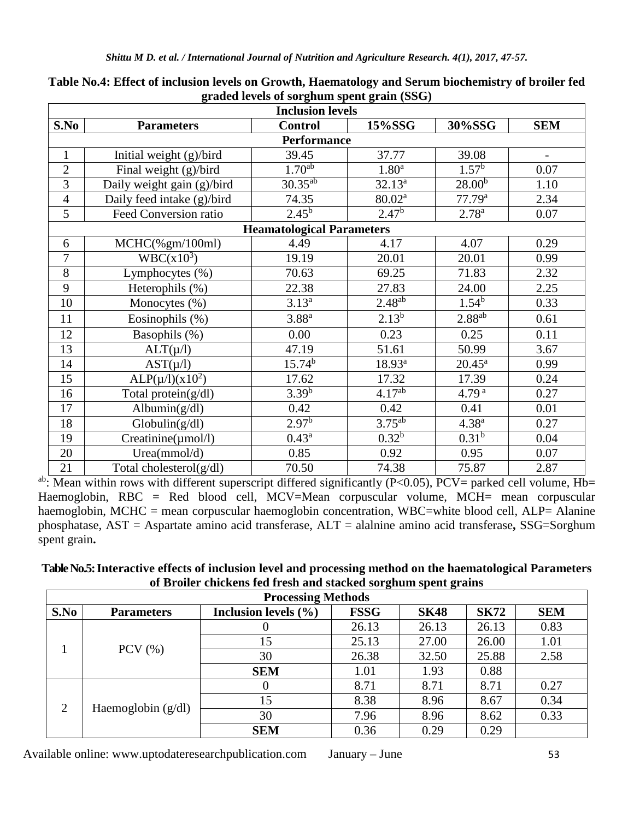| <b>Inclusion levels</b> |                                       |                                  |                    |                    |            |  |  |  |
|-------------------------|---------------------------------------|----------------------------------|--------------------|--------------------|------------|--|--|--|
| S.No                    | <b>Parameters</b>                     | <b>Control</b>                   | 15%SSG             | 30%SSG             | <b>SEM</b> |  |  |  |
| <b>Performance</b>      |                                       |                                  |                    |                    |            |  |  |  |
| $\mathbf{1}$            | Initial weight (g)/bird               | 39.45                            | 37.77              | 39.08              |            |  |  |  |
| $\overline{2}$          | Final weight (g)/bird                 | 1.70 <sup>ab</sup>               | 1.80 <sup>a</sup>  | 1.57 <sup>b</sup>  | 0.07       |  |  |  |
| 3                       | Daily weight gain (g)/bird            | $30.35^{ab}$                     | $32.13^{a}$        | $28.00^{b}$        | 1.10       |  |  |  |
| $\overline{4}$          | Daily feed intake (g)/bird            | 74.35                            | 80.02 <sup>a</sup> | 77.79 <sup>a</sup> | 2.34       |  |  |  |
| 5                       | Feed Conversion ratio                 | $2.45^{b}$                       | 2.47 <sup>b</sup>  | $2.78^{a}$         | 0.07       |  |  |  |
|                         |                                       | <b>Heamatological Parameters</b> |                    |                    |            |  |  |  |
| 6                       | $MCHC$ (% $gm/100ml$ )                | 4.49                             | 4.17               | 4.07               | 0.29       |  |  |  |
| $\overline{7}$          | $WBC(x10^3)$                          | 19.19                            | 20.01              | 20.01              | 0.99       |  |  |  |
| 8                       | Lymphocytes (%)                       | 70.63                            | 69.25              | 71.83              | 2.32       |  |  |  |
| 9                       | Heterophils (%)                       | 22.38                            | 27.83              | 24.00              | 2.25       |  |  |  |
| $\overline{10}$         | Monocytes (%)                         | $3.13^{a}$                       | $2.48^{ab}$        | $1.54^{b}$         | 0.33       |  |  |  |
| 11                      | Eosinophils (%)                       | 3.88 <sup>a</sup>                | $2.13^{b}$         | $2.88^{ab}$        | 0.61       |  |  |  |
| 12                      | Basophils (%)                         | 0.00                             | 0.23               | 0.25               | 0.11       |  |  |  |
| 13                      | $ALT(\mu/l)$                          | 47.19                            | 51.61              | 50.99              | 3.67       |  |  |  |
| 14                      | $AST(\mu/l)$                          | $15.74^{b}$                      | $18.93^{a}$        | $20.45^{\rm a}$    | 0.99       |  |  |  |
| 15                      | ALP( $\mu$ /1)( $x$ 10 <sup>2</sup> ) | 17.62                            | 17.32              | 17.39              | 0.24       |  |  |  |
| 16                      | Total protein(g/dl)                   | $3.39^{b}$                       | 4.17 <sup>ab</sup> | 4.79 <sup>a</sup>  | 0.27       |  |  |  |
| 17                      | Albumin(g/dl)                         | 0.42                             | 0.42               | 0.41               | 0.01       |  |  |  |
| 18                      | Globalin(g/dl)                        | $2.97^{6}$                       | $3.75^{ab}$        | $4.38^{a}$         | 0.27       |  |  |  |
| 19                      | $Creatinine(\mu mol/l)$               | $0.43^{\rm a}$                   | $0.32^{b}$         | $0.31^{b}$         | 0.04       |  |  |  |
| 20                      | Urea(mmol/d)                          | 0.85                             | 0.92               | 0.95               | 0.07       |  |  |  |
| 21                      | Total cholesterol $(g/dl)$            | 70.50                            | 74.38              | 75.87              | 2.87       |  |  |  |

## **Table No.4: Effect of inclusion levels on Growth, Haematology and Serum biochemistry of broiler fed graded levels of sorghum spent grain (SSG)**

ab: Mean within rows with different superscript differed significantly (P<0.05), PCV= parked cell volume, Hb= Haemoglobin, RBC = Red blood cell, MCV=Mean corpuscular volume, MCH= mean corpuscular haemoglobin, MCHC = mean corpuscular haemoglobin concentration, WBC=white blood cell, ALP= Alanine phosphatase, AST = Aspartate amino acid transferase, ALT = alalnine amino acid transferase**,** SSG=Sorghum spent grain**.** 

| Table No.5: Interactive effects of inclusion level and processing method on the haematological Parameters |
|-----------------------------------------------------------------------------------------------------------|
| of Broiler chickens fed fresh and stacked sorghum spent grains                                            |

| <b>Processing Methods</b> |                      |                          |             |             |             |            |  |  |
|---------------------------|----------------------|--------------------------|-------------|-------------|-------------|------------|--|--|
| S.No                      | <b>Parameters</b>    | Inclusion levels $(\% )$ | <b>FSSG</b> | <b>SK48</b> | <b>SK72</b> | <b>SEM</b> |  |  |
|                           | $PCV$ $(\% )$        | U                        | 26.13       | 26.13       | 26.13       | 0.83       |  |  |
|                           |                      | 15                       | 25.13       | 27.00       | 26.00       | 1.01       |  |  |
|                           |                      | 30                       | 26.38       | 32.50       | 25.88       | 2.58       |  |  |
|                           |                      | <b>SEM</b>               | 1.01        | 1.93        | 0.88        |            |  |  |
|                           | Haemoglobin $(g/dl)$ | $\theta$                 | 8.71        | 8.71        | 8.71        | 0.27       |  |  |
| 2                         |                      | 15                       | 8.38        | 8.96        | 8.67        | 0.34       |  |  |
|                           |                      | 30                       | 7.96        | 8.96        | 8.62        | 0.33       |  |  |
|                           |                      | <b>SEM</b>               | 0.36        | 0.29        | 0.29        |            |  |  |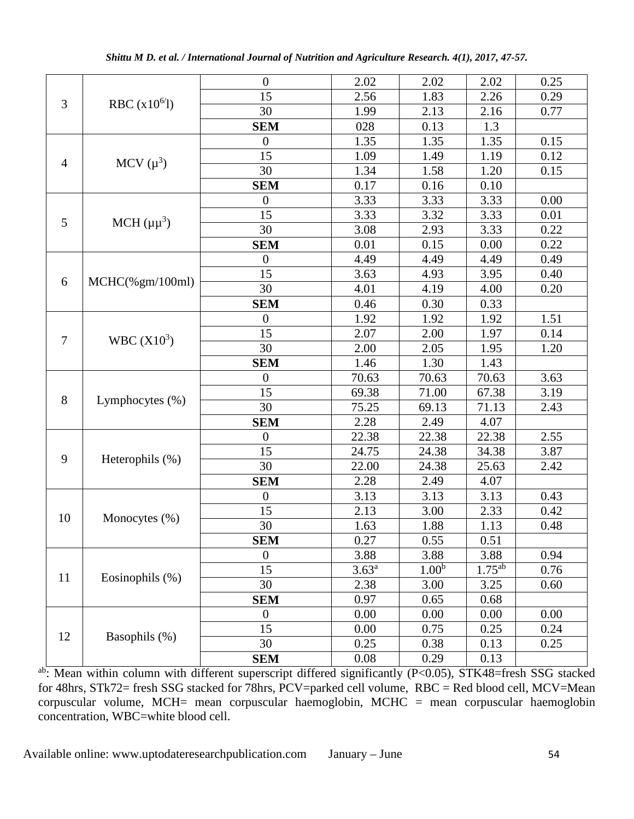|                |                                          | $\overline{0}$   | 2.02       | 2.02              | 2.02        | 0.25 |
|----------------|------------------------------------------|------------------|------------|-------------------|-------------|------|
| 3              |                                          | 15               | 2.56       | 1.83              | 2.26        | 0.29 |
|                | RBC $(x10^{6/1})$                        | 30               | 1.99       | 2.13              | 2.16        | 0.77 |
|                |                                          | <b>SEM</b>       | 028        | 0.13              | 1.3         |      |
|                |                                          | $\boldsymbol{0}$ | 1.35       | 1.35              | 1.35        | 0.15 |
|                |                                          | 15               | 1.09       | 1.49              | 1.19        | 0.12 |
| $\overline{4}$ | MCV $(\mu^3)$                            | 30               | 1.34       | 1.58              | 1.20        | 0.15 |
|                |                                          | <b>SEM</b>       | 0.17       | 0.16              | 0.10        |      |
|                |                                          | $\boldsymbol{0}$ | 3.33       | 3.33              | 3.33        | 0.00 |
| 5              |                                          | 15               | 3.33       | 3.32              | 3.33        | 0.01 |
|                | MCH $(\mu \mu^3)$                        | 30               | 3.08       | 2.93              | 3.33        | 0.22 |
|                |                                          | <b>SEM</b>       | 0.01       | 0.15              | 0.00        | 0.22 |
|                |                                          | $\boldsymbol{0}$ | 4.49       | 4.49              | 4.49        | 0.49 |
|                |                                          | 15               | 3.63       | 4.93              | 3.95        | 0.40 |
| 6              | $MCHC(\% \, \text{gm}/100 \, \text{ml})$ | 30               | 4.01       | 4.19              | 4.00        | 0.20 |
|                |                                          | <b>SEM</b>       | 0.46       | 0.30              | 0.33        |      |
|                |                                          | $\boldsymbol{0}$ | 1.92       | 1.92              | 1.92        | 1.51 |
| $\tau$         | WBC (X10 <sup>3</sup> )                  | 15               | 2.07       | 2.00              | 1.97        | 0.14 |
|                |                                          | 30               | 2.00       | 2.05              | 1.95        | 1.20 |
|                |                                          | <b>SEM</b>       | 1.46       | 1.30              | 1.43        |      |
|                | Lymphocytes $(\% )$                      | $\boldsymbol{0}$ | 70.63      | 70.63             | 70.63       | 3.63 |
| 8              |                                          | 15               | 69.38      | 71.00             | 67.38       | 3.19 |
|                |                                          | 30               | 75.25      | 69.13             | 71.13       | 2.43 |
|                |                                          | <b>SEM</b>       | 2.28       | 2.49              | 4.07        |      |
|                | Heterophils (%)                          | $\overline{0}$   | 22.38      | 22.38             | 22.38       | 2.55 |
| 9              |                                          | 15               | 24.75      | 24.38             | 34.38       | 3.87 |
|                |                                          | 30               | 22.00      | 24.38             | 25.63       | 2.42 |
|                |                                          | <b>SEM</b>       | 2.28       | 2.49              | 4.07        |      |
|                |                                          | $\boldsymbol{0}$ | 3.13       | 3.13              | 3.13        | 0.43 |
| 10             |                                          | 15               | 2.13       | 3.00              | 2.33        | 0.42 |
|                | Monocytes $(\%)$                         | 30               | 1.63       | 1.88              | 1.13        | 0.48 |
|                |                                          | <b>SEM</b>       | 0.27       | 0.55              | 0.51        |      |
|                |                                          | $\boldsymbol{0}$ | 3.88       | 3.88              | 3.88        | 0.94 |
|                |                                          | 15               | $3.63^{a}$ | 1.00 <sup>b</sup> | $1.75^{ab}$ | 0.76 |
| 11             | Eosinophils (%)                          | 30               | 2.38       | 3.00              | 3.25        | 0.60 |
|                |                                          | <b>SEM</b>       | 0.97       | 0.65              | 0.68        |      |
|                |                                          | $\overline{0}$   | 0.00       | 0.00              | 0.00        | 0.00 |
|                |                                          | 15               | 0.00       | 0.75              | 0.25        | 0.24 |
| 12             | Basophils (%)                            | 30               | 0.25       | 0.38              | 0.13        | 0.25 |
|                |                                          | <b>SEM</b>       | 0.08       | 0.29              | 0.13        |      |

ab: Mean within column with different superscript differed significantly (P<0.05), STK48=fresh SSG stacked for 48hrs, STk72= fresh SSG stacked for 78hrs, PCV=parked cell volume, RBC = Red blood cell, MCV=Mean corpuscular volume, MCH= mean corpuscular haemoglobin, MCHC = mean corpuscular haemoglobin concentration, WBC=white blood cell.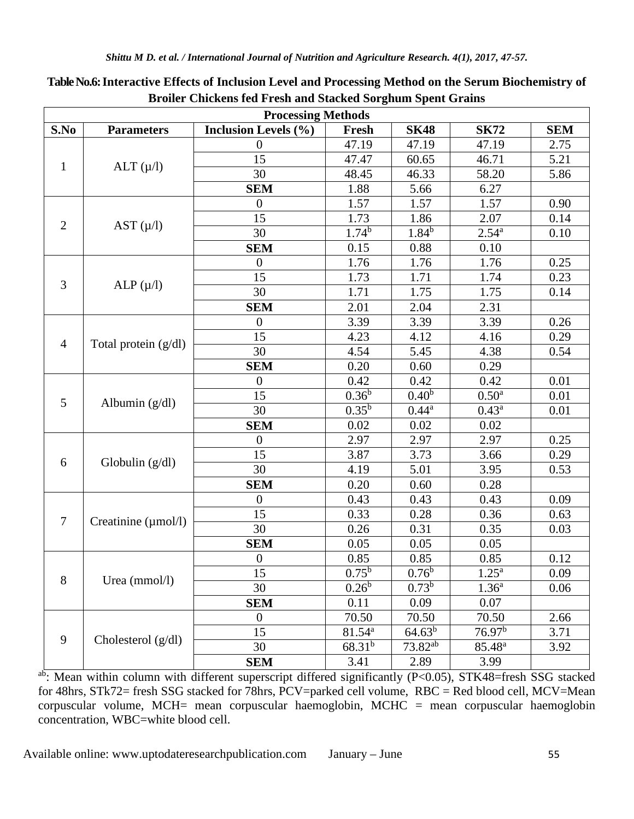| <b>Processing Methods</b> |                          |                             |                   |                   |                    |            |  |  |
|---------------------------|--------------------------|-----------------------------|-------------------|-------------------|--------------------|------------|--|--|
| S.No                      | <b>Parameters</b>        | <b>Inclusion Levels (%)</b> | Fresh             | <b>SK48</b>       | <b>SK72</b>        | <b>SEM</b> |  |  |
|                           |                          | $\boldsymbol{0}$            | 47.19             | 47.19             | 47.19              | 2.75       |  |  |
|                           |                          | 15                          | 47.47             | 60.65             | 46.71              | 5.21       |  |  |
| $\mathbf{1}$              | ALT $(\mu/l)$            | 30                          | 48.45             | 46.33             | 58.20              | 5.86       |  |  |
|                           |                          | <b>SEM</b>                  | 1.88              | 5.66              | 6.27               |            |  |  |
|                           |                          | $\overline{0}$              | 1.57              | 1.57              | 1.57               | 0.90       |  |  |
|                           |                          | 15                          | 1.73              | 1.86              | 2.07               | 0.14       |  |  |
| $\overline{2}$            | AST $(\mu/l)$            | 30                          | 1.74 <sup>b</sup> | $1.84^{b}$        | $2.54^{a}$         | 0.10       |  |  |
|                           |                          | <b>SEM</b>                  | 0.15              | 0.88              | 0.10               |            |  |  |
|                           |                          | $\boldsymbol{0}$            | 1.76              | 1.76              | 1.76               | 0.25       |  |  |
|                           |                          | 15                          | 1.73              | 1.71              | 1.74               | 0.23       |  |  |
| 3                         | ALP $(\mu/l)$            | 30                          | 1.71              | 1.75              | 1.75               | 0.14       |  |  |
|                           |                          | <b>SEM</b>                  | 2.01              | 2.04              | 2.31               |            |  |  |
|                           |                          | $\overline{0}$              | 3.39              | 3.39              | 3.39               | 0.26       |  |  |
|                           | Total protein $(g/dl)$   | 15                          | 4.23              | 4.12              | 4.16               | 0.29       |  |  |
| $\overline{4}$            |                          | 30                          | 4.54              | 5.45              | 4.38               | 0.54       |  |  |
|                           |                          | <b>SEM</b>                  | 0.20              | 0.60              | 0.29               |            |  |  |
|                           | Albumin $(g/dl)$         | $\boldsymbol{0}$            | 0.42              | 0.42              | 0.42               | 0.01       |  |  |
|                           |                          | 15                          | $0.36^{b}$        | 0.40 <sup>b</sup> | 0.50 <sup>a</sup>  | 0.01       |  |  |
| 5                         |                          | 30                          | $0.35^{b}$        | $0.44^{a}$        | $0.43^a$           | 0.01       |  |  |
|                           |                          | <b>SEM</b>                  | 0.02              | 0.02              | 0.02               |            |  |  |
|                           | Globulin $(g/dl)$        | $\overline{0}$              | 2.97              | 2.97              | 2.97               | 0.25       |  |  |
|                           |                          | 15                          | 3.87              | 3.73              | 3.66               | 0.29       |  |  |
| 6                         |                          | 30                          | 4.19              | 5.01              | 3.95               | 0.53       |  |  |
|                           |                          | <b>SEM</b>                  | 0.20              | 0.60              | 0.28               |            |  |  |
|                           |                          | $\overline{0}$              | 0.43              | 0.43              | 0.43               | 0.09       |  |  |
| $\overline{7}$            |                          | 15                          | 0.33              | 0.28              | 0.36               | 0.63       |  |  |
|                           | Creatinine $(\mu$ mol/l) | 30                          | 0.26              | 0.31              | 0.35               | 0.03       |  |  |
|                           |                          | <b>SEM</b>                  | 0.05              | 0.05              | 0.05               |            |  |  |
|                           |                          | $\boldsymbol{0}$            | 0.85              | 0.85              | 0.85               | 0.12       |  |  |
| 8                         |                          | $\overline{15}$             | $0.75^{b}$        | $0.76^{\rm b}$    | $1.25^a$           | 0.09       |  |  |
|                           | Urea (mmol/l)            | 30                          | $0.26^{\rm b}$    | $0.73^{b}$        | 1.36 <sup>a</sup>  | 0.06       |  |  |
|                           |                          | <b>SEM</b>                  | 0.11              | 0.09              | 0.07               |            |  |  |
|                           |                          | $\boldsymbol{0}$            | 70.50             | 70.50             | 70.50              | 2.66       |  |  |
| 9                         |                          | 15                          | $81.54^{a}$       | $64.63^{b}$       | 76.97 <sup>b</sup> | 3.71       |  |  |
|                           | Cholesterol (g/dl)       | 30                          | $68.31^{b}$       | $73.82^{ab}$      | $85.48^{a}$        | 3.92       |  |  |
|                           |                          | <b>SEM</b>                  | 3.41              | 2.89              | 3.99               |            |  |  |

**Table No.6: Interactive Effects of Inclusion Level and Processing Method on the Serum Biochemistry of Broiler Chickens fed Fresh and Stacked Sorghum Spent Grains** 

ab: Mean within column with different superscript differed significantly (P<0.05), STK48=fresh SSG stacked for 48hrs, STk72= fresh SSG stacked for 78hrs, PCV=parked cell volume, RBC = Red blood cell, MCV=Mean corpuscular volume, MCH= mean corpuscular haemoglobin, MCHC = mean corpuscular haemoglobin concentration, WBC=white blood cell.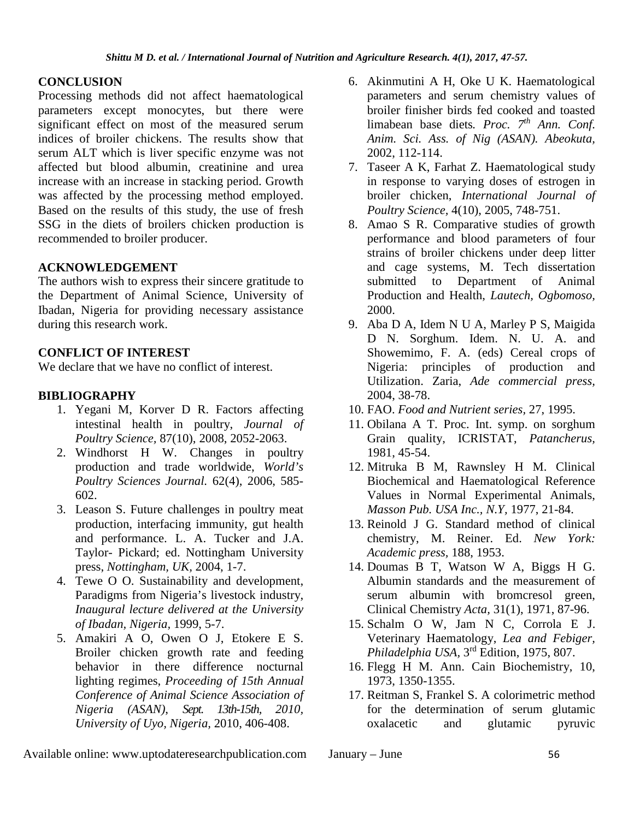## **CONCLUSION**

Processing methods did not affect haematological parameters except monocytes, but there were significant effect on most of the measured serum indices of broiler chickens. The results show that serum ALT which is liver specific enzyme was not affected but blood albumin, creatinine and urea increase with an increase in stacking period. Growth was affected by the processing method employed. Based on the results of this study, the use of fresh SSG in the diets of broilers chicken production is recommended to broiler producer.

## **ACKNOWLEDGEMENT**

The authors wish to express their sincere gratitude to the Department of Animal Science, University of Ibadan, Nigeria for providing necessary assistance during this research work.

## **CONFLICT OF INTEREST**

We declare that we have no conflict of interest.

## **BIBLIOGRAPHY**

- 1. Yegani M, Korver D R. Factors affecting intestinal health in poultry, *Journal of Poultry Science,* 87(10), 2008, 2052-2063.
- 2. Windhorst H W. Changes in poultry production and trade worldwide, *World's Poultry Sciences Journal.* 62(4), 2006, 585- 602.
- 3. Leason S. Future challenges in poultry meat production, interfacing immunity, gut health and performance. L. A. Tucker and J.A. Taylor- Pickard; ed. Nottingham University press, *Nottingham, UK,* 2004, 1-7.
- 4. Tewe O O. Sustainability and development, Paradigms from Nigeria's livestock industry, *Inaugural lecture delivered at the University of Ibadan, Nigeria,* 1999, 5-7.
- 5. Amakiri A O, Owen O J, Etokere E S. Broiler chicken growth rate and feeding behavior in there difference nocturnal lighting regimes, *Proceeding of 15th Annual Conference of Animal Science Association of Nigeria (ASAN)*, *Sept. 13th-15th, 2010, University of Uyo, Nigeria,* 2010, 406-408.
- 6. Akinmutini A H, Oke U K. Haematological parameters and serum chemistry values of broiler finisher birds fed cooked and toasted limabean base diets*. Proc. 7th Ann. Conf. Anim. Sci. Ass. of Nig (ASAN). Abeokuta,*  2002, 112-114.
- 7. Taseer A K, Farhat Z. Haematological study in response to varying doses of estrogen in broiler chicken, *International Journal of Poultry Science,* 4(10), 2005, 748-751.
- 8. Amao S R. Comparative studies of growth performance and blood parameters of four strains of broiler chickens under deep litter and cage systems, M. Tech dissertation submitted to Department of Animal Production and Health, *Lautech, Ogbomoso,* 2000.
- 9. Aba D A, Idem N U A, Marley P S, Maigida D N. Sorghum. Idem. N. U. A. and Showemimo, F. A. (eds) Cereal crops of Nigeria: principles of production and Utilization. Zaria, *Ade commercial press,* 2004, 38-78.
- 10. FAO. *Food and Nutrient series,* 27, 1995.
- 11. Obilana A T. Proc. Int. symp. on sorghum Grain quality, ICRISTAT, *Patancherus,* 1981, 45-54.
- 12. Mitruka B M, Rawnsley H M. Clinical Biochemical and Haematological Reference Values in Normal Experimental Animals, *Masson Pub. USA Inc., N.Y,* 1977, 21-84.
- 13. Reinold J G. Standard method of clinical chemistry, M. Reiner. Ed. *New York: Academic press,* 188, 1953.
- 14. Doumas B T, Watson W A, Biggs H G. Albumin standards and the measurement of serum albumin with bromcresol green, Clinical Chemistry *Acta,* 31(1), 1971, 87-96.
- 15. Schalm O W, Jam N C, Corrola E J. Veterinary Haematology, *Lea and Febiger,*  Philadelphia USA, 3<sup>rd</sup> Edition, 1975, 807.
- 16. Flegg H M. Ann. Cain Biochemistry, 10, 1973, 1350-1355.
- 17. Reitman S, Frankel S. A colorimetric method for the determination of serum glutamic oxalacetic and glutamic pyruvic